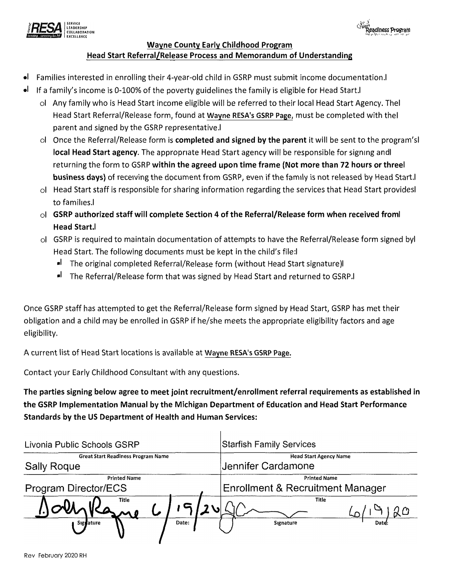



## Head Start Referral/Release Process and Memorandum of Understanding Wayne County Early Childhood Program

- •l Families interested in enrolling their 4-year-old child in GSRP must submit income documentation.l
- •l lf a family's income is 0-100% of the poverty guidelines the family is eligible for Head Start.l
	- ol Any family who is Head Start income eligible will be referred to their local Head Start Agency. Thel Head Start Referral/Release form, found at Wayne RESA's GSRP Page, must be completed with thel parent and signed by the GSRP representative.l
	- ol Once the Referral/Release form is completed and signed by the parent it will be sent to the program'sl local Head Start agency. The appropriate Head Start agency will be responsible for signing andl returning the form to GSRP within the agreed upon time frame (Not more than 72 hours or threel business days) of receiving the document from GSRP, even if the family is not released by Head Start.
	- ol Head Start staff is responsible for sharing information regarding the services that Head Start providesl to families.l
	- ol GSRP authorized staff will complete Section 4 of the Referral/Release form when received froml Head Start.l
	- ol GSRP is required to maintain documentation of attempts to have the Referral/Release form signed byl Head Start. The following documents must be kept in the child's file:l
		- •l The original completed Referral/Release form (without Head Start signature)l
		- •l The Referral/Release form that was signed by Head Start and returned to GSRP.l

Once GSRP staff has attempted to get the Referral/Release form signed by Head Start, GSRP has met their obligation and a child may be enrolled in GSRP if he/she meets the appropriate eligibility factors and age eligibility.

A current list of Head Start locations is available at Wayne RESA's GSRP Page.

Contact your Early Childhood Consultant with any questions.

The parties signing below agree to meet joint recruitment/enrollment referral requirements as established in the GSRP Implementation Manual by the Michigan Department of Education and Head Start Performance Standards by the US Department of Health and Human Services:

 $\overline{1}$ 

| Livonia Public Schools GSRP                                     |   | <b>Starfish Family Services</b>                         |  |
|-----------------------------------------------------------------|---|---------------------------------------------------------|--|
| <b>Great Start Readiness Program Name</b><br><b>Sally Roque</b> |   | <b>Head Start Agency Name</b><br>Jennifer Cardamone     |  |
| <b>Printed Name</b><br>Program Director/ECS                     |   | <b>Printed Name</b><br>Enrollment & Recruitment Manager |  |
| Title                                                           | V | Title                                                   |  |
| Signature<br>Date:                                              |   | Signature<br>Datd:                                      |  |